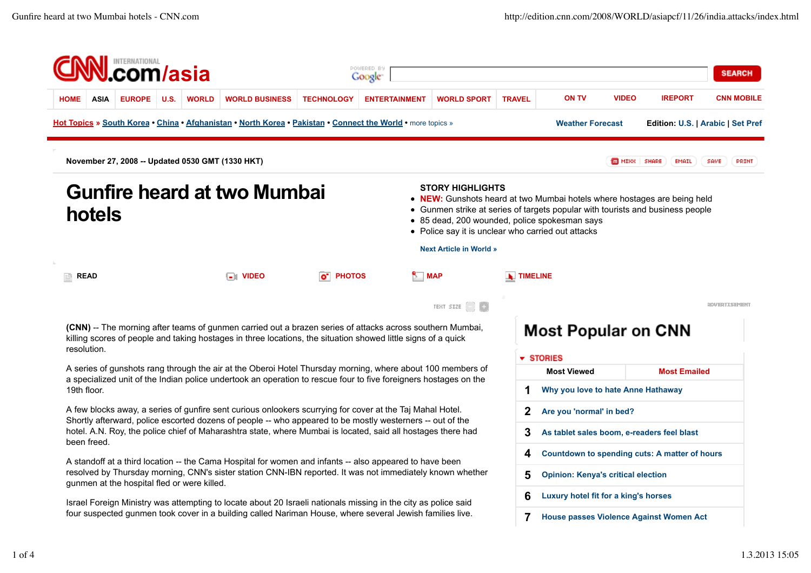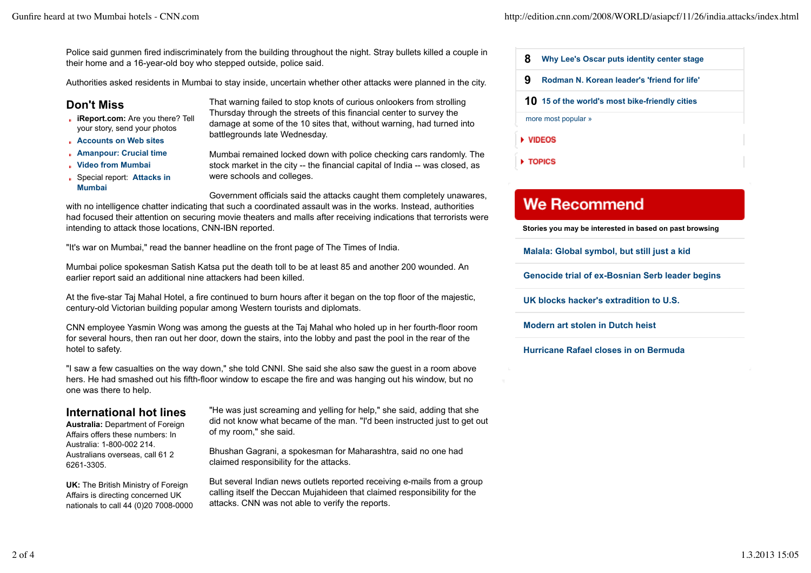Police said gunmen fired indiscriminately from the building throughout the night. Stray bullets killed a couple in their home and a 16-year-old boy who stepped outside, police said.

Authorities asked residents in Mumbai to stay inside, uncertain whether other attacks were planned in the city.

## **Don't Miss**

- **iReport.com:** Are you there? Tell your story, send your photos
- **Accounts on Web sites**
- **Amanpour: Crucial time**
- **Video from Mumbai**
- Special report: **Attacks in Mumbai**

That warning failed to stop knots of curious onlookers from strolling Thursday through the streets of this financial center to survey the damage at some of the 10 sites that, without warning, had turned into battlegrounds late Wednesday.

Mumbai remained locked down with police checking cars randomly. The stock market in the city -- the financial capital of India -- was closed, as were schools and colleges.

Government officials said the attacks caught them completely unawares, with no intelligence chatter indicating that such a coordinated assault was in the works. Instead, authorities had focused their attention on securing movie theaters and malls after receiving indications that terrorists were intending to attack those locations, CNN-IBN reported.

"It's war on Mumbai," read the banner headline on the front page of The Times of India.

Mumbai police spokesman Satish Katsa put the death toll to be at least 85 and another 200 wounded. An earlier report said an additional nine attackers had been killed.

At the five-star Taj Mahal Hotel, a fire continued to burn hours after it began on the top floor of the majestic, century-old Victorian building popular among Western tourists and diplomats.

CNN employee Yasmin Wong was among the guests at the Taj Mahal who holed up in her fourth-floor room for several hours, then ran out her door, down the stairs, into the lobby and past the pool in the rear of the hotel to safety.

"I saw a few casualties on the way down," she told CNNI. She said she also saw the guest in a room above hers. He had smashed out his fifth-floor window to escape the fire and was hanging out his window, but no one was there to help.

## **International hot lines**

**Australia:** Department of Foreign Affairs offers these numbers: In Australia: 1-800-002 214. Australians overseas, call 61 2 6261-3305.

**UK:** The British Ministry of Foreign Affairs is directing concerned UK nationals to call 44 (0)20 7008-0000 "He was just screaming and yelling for help," she said, adding that she did not know what became of the man. "I'd been instructed just to get out of my room," she said.

Bhushan Gagrani, a spokesman for Maharashtra, said no one had claimed responsibility for the attacks.

But several Indian news outlets reported receiving e-mails from a group calling itself the Deccan Mujahideen that claimed responsibility for the attacks. CNN was not able to verify the reports.

| 8 |  |  |  | Why Lee's Oscar puts identity center stage |
|---|--|--|--|--------------------------------------------|
|---|--|--|--|--------------------------------------------|

- **9 Rodman N. Korean leader's 'friend for life'**
- **10 15 of the world's most bike-friendly cities**

more most popular »

▶ VIDEOS

TOPICS

## **We Recommend**

**Stories you may be interested in based on past browsing**

**Malala: Global symbol, but still just a kid**

**Genocide trial of ex-Bosnian Serb leader begins**

**UK blocks hacker's extradition to U.S.**

**Modern art stolen in Dutch heist**

**Hurricane Rafael closes in on Bermuda**